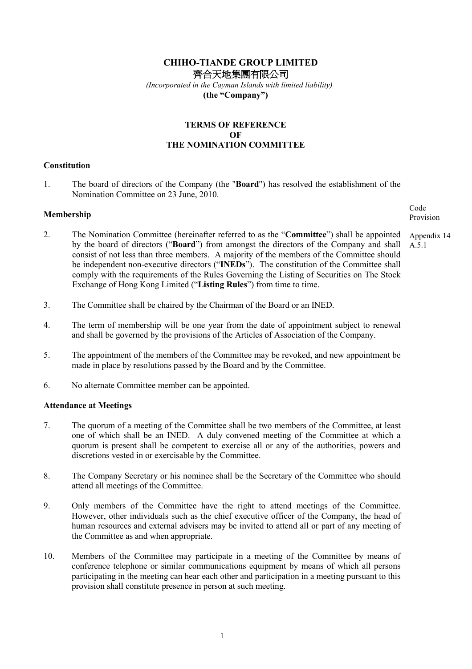# CHIHO-TIANDE GROUP LIMITED 齊合天地集團有限公司

 (Incorporated in the Cayman Islands with limited liability) (the "Company")

## TERMS OF REFERENCE OF THE NOMINATION COMMITTEE

#### **Constitution**

1. The board of directors of the Company (the "Board") has resolved the establishment of the Nomination Committee on 23 June, 2010.

# Membership

- 2. The Nomination Committee (hereinafter referred to as the "Committee") shall be appointed by the board of directors ("Board") from amongst the directors of the Company and shall consist of not less than three members. A majority of the members of the Committee should be independent non-executive directors ("INEDs"). The constitution of the Committee shall comply with the requirements of the Rules Governing the Listing of Securities on The Stock Exchange of Hong Kong Limited ("Listing Rules") from time to time. A.5.1
- 3. The Committee shall be chaired by the Chairman of the Board or an INED.
- 4. The term of membership will be one year from the date of appointment subject to renewal and shall be governed by the provisions of the Articles of Association of the Company.
- 5. The appointment of the members of the Committee may be revoked, and new appointment be made in place by resolutions passed by the Board and by the Committee.
- 6. No alternate Committee member can be appointed.

#### Attendance at Meetings

- 7. The quorum of a meeting of the Committee shall be two members of the Committee, at least one of which shall be an INED. A duly convened meeting of the Committee at which a quorum is present shall be competent to exercise all or any of the authorities, powers and discretions vested in or exercisable by the Committee.
- 8. The Company Secretary or his nominee shall be the Secretary of the Committee who should attend all meetings of the Committee.
- 9. Only members of the Committee have the right to attend meetings of the Committee. However, other individuals such as the chief executive officer of the Company, the head of human resources and external advisers may be invited to attend all or part of any meeting of the Committee as and when appropriate.
- 10. Members of the Committee may participate in a meeting of the Committee by means of conference telephone or similar communications equipment by means of which all persons participating in the meeting can hear each other and participation in a meeting pursuant to this provision shall constitute presence in person at such meeting.

Code Provision

Appendix 14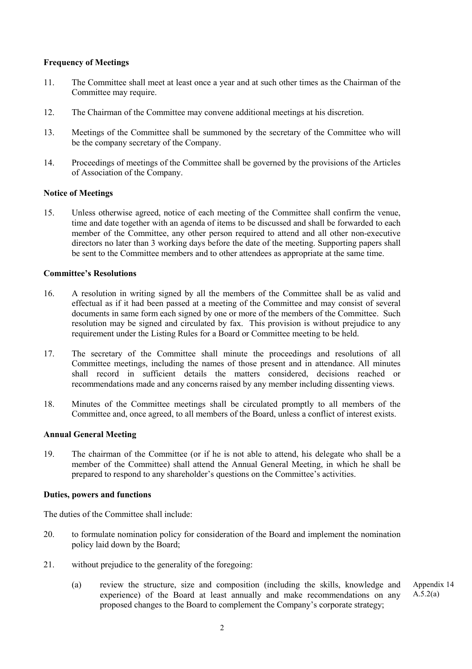## Frequency of Meetings

- 11. The Committee shall meet at least once a year and at such other times as the Chairman of the Committee may require.
- 12. The Chairman of the Committee may convene additional meetings at his discretion.
- 13. Meetings of the Committee shall be summoned by the secretary of the Committee who will be the company secretary of the Company.
- 14. Proceedings of meetings of the Committee shall be governed by the provisions of the Articles of Association of the Company.

## Notice of Meetings

15. Unless otherwise agreed, notice of each meeting of the Committee shall confirm the venue, time and date together with an agenda of items to be discussed and shall be forwarded to each member of the Committee, any other person required to attend and all other non-executive directors no later than 3 working days before the date of the meeting. Supporting papers shall be sent to the Committee members and to other attendees as appropriate at the same time.

### Committee's Resolutions

- 16. A resolution in writing signed by all the members of the Committee shall be as valid and effectual as if it had been passed at a meeting of the Committee and may consist of several documents in same form each signed by one or more of the members of the Committee. Such resolution may be signed and circulated by fax. This provision is without prejudice to any requirement under the Listing Rules for a Board or Committee meeting to be held.
- 17. The secretary of the Committee shall minute the proceedings and resolutions of all Committee meetings, including the names of those present and in attendance. All minutes shall record in sufficient details the matters considered, decisions reached or recommendations made and any concerns raised by any member including dissenting views.
- 18. Minutes of the Committee meetings shall be circulated promptly to all members of the Committee and, once agreed, to all members of the Board, unless a conflict of interest exists.

### Annual General Meeting

19. The chairman of the Committee (or if he is not able to attend, his delegate who shall be a member of the Committee) shall attend the Annual General Meeting, in which he shall be prepared to respond to any shareholder's questions on the Committee's activities.

### Duties, powers and functions

The duties of the Committee shall include:

- 20. to formulate nomination policy for consideration of the Board and implement the nomination policy laid down by the Board;
- 21. without prejudice to the generality of the foregoing:
	- (a) review the structure, size and composition (including the skills, knowledge and experience) of the Board at least annually and make recommendations on any proposed changes to the Board to complement the Company's corporate strategy; Appendix 14  $A.5.2(a)$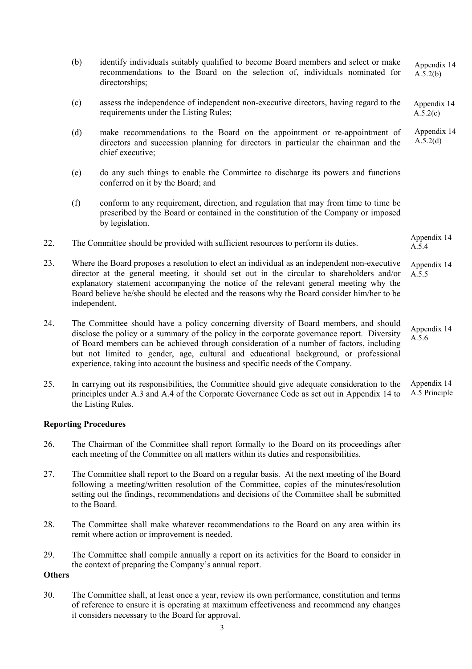- (b) identify individuals suitably qualified to become Board members and select or make recommendations to the Board on the selection of, individuals nominated for directorships; (c) assess the independence of independent non-executive directors, having regard to the requirements under the Listing Rules; (d) make recommendations to the Board on the appointment or re-appointment of directors and succession planning for directors in particular the chairman and the chief executive; (e) do any such things to enable the Committee to discharge its powers and functions conferred on it by the Board; and (f) conform to any requirement, direction, and regulation that may from time to time be prescribed by the Board or contained in the constitution of the Company or imposed by legislation. 22. The Committee should be provided with sufficient resources to perform its duties. 23. Where the Board proposes a resolution to elect an individual as an independent non-executive director at the general meeting, it should set out in the circular to shareholders and/or explanatory statement accompanying the notice of the relevant general meeting why the Board believe he/she should be elected and the reasons why the Board consider him/her to be independent. Appendix 14 A.5.4 Appendix 14 A.5.5 Appendix 14  $A.\overline{5}.2(b)$ Appendix 14  $A.5.2(c)$ Appendix 14 A.5.2(d)
- 24. The Committee should have a policy concerning diversity of Board members, and should disclose the policy or a summary of the policy in the corporate governance report. Diversity of Board members can be achieved through consideration of a number of factors, including but not limited to gender, age, cultural and educational background, or professional experience, taking into account the business and specific needs of the Company. Appendix 14 A.5.6
- 25. In carrying out its responsibilities, the Committee should give adequate consideration to the principles under A.3 and A.4 of the Corporate Governance Code as set out in Appendix 14 to the Listing Rules. Appendix 14 A.5 Principle

## Reporting Procedures

- 26. The Chairman of the Committee shall report formally to the Board on its proceedings after each meeting of the Committee on all matters within its duties and responsibilities.
- 27. The Committee shall report to the Board on a regular basis. At the next meeting of the Board following a meeting/written resolution of the Committee, copies of the minutes/resolution setting out the findings, recommendations and decisions of the Committee shall be submitted to the Board.
- 28. The Committee shall make whatever recommendations to the Board on any area within its remit where action or improvement is needed.
- 29. The Committee shall compile annually a report on its activities for the Board to consider in the context of preparing the Company's annual report.

### **Others**

30. The Committee shall, at least once a year, review its own performance, constitution and terms of reference to ensure it is operating at maximum effectiveness and recommend any changes it considers necessary to the Board for approval.